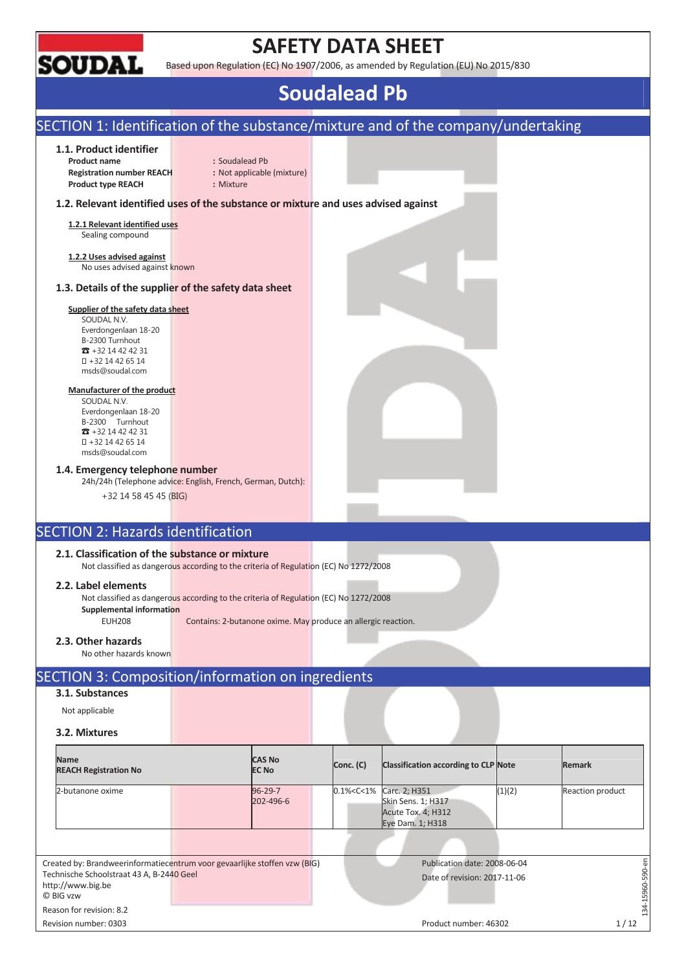

# **SAFETY DATA SHEET**

Based upon Regulation (EC) No 1907/2006, as amended by Regulation (EU) No 2015/830

# **Soudalead Pb**

# SECTION 1: Identification of the substance/mixture and of the company/undertaking

#### **1.1. Product identifier**

**Product name** : Soudalead Pb **Registration number REACH :** Not applicable (mixture) **Product type REACH :** Mixture

### **1.2. Relevant identified uses of the substance or mixture and uses advised against**

**1.2.1 Relevant identified uses**  Sealing compound

**1.2.2 Uses advised against**  No uses advised against known

#### **1.3. Details of the supplier of the safety data sheet**

### **Supplier of the safety data sheet**

SOUDAL N.V. Everdongenlaan 18-20 B-2300 Turnhout  $73 + 32 14 42 42 31$  +32 14 42 65 14 msds@soudal.com

#### **Manufacturer of the product**

SOUDAL N.V. Everdongenlaan 18-20 B-2300 Turnhout  $\overline{3}$  +32 14 42 42 31 +32 14 42 65 14 msds@soudal.com

#### **1.4. Emergency telephone number**

24h/24h (Telephone advice: English, French, German, Dutch):

+32 14 58 45 45 (BIG)

# SECTION 2: Hazards identification

## **2.1. Classification of the substance or mixture**

Not classified as dangerous according to the criteria of Regulation (EC) No 1272/2008

#### **2.2. Label elements**

Not classified as dangerous according to the criteria of Regulation (EC) No 1272/2008

**Supplemental information** 

EUH208 Contains: 2-butanone oxime. May produce an allergic reaction.

#### **2.3. Other hazards**

No other hazards known

# SECTION 3: Composition/information on ingredients

# **3.1. Substances**

Not applicable

## **3.2. Mixtures**

| <b>Name</b><br><b>REACH Registration No</b>                                                                                                              | <b>CAS No</b><br><b>EC No</b> | Conc. (C)     | <b>Classification according to CLP Note</b>                                   |        | <b>Remark</b>       |
|----------------------------------------------------------------------------------------------------------------------------------------------------------|-------------------------------|---------------|-------------------------------------------------------------------------------|--------|---------------------|
| 2-butanone oxime                                                                                                                                         | $96 - 29 - 7$<br>202-496-6    | 0.1% < C < 1% | Carc. 2; H351<br>Skin Sens. 1; H317<br>Acute Tox. 4; H312<br>Eye Dam. 1; H318 | (1)(2) | Reaction product    |
| Created by: Brandweerinformatiecentrum voor gevaarlijke stoffen vzw (BIG)<br>Technische Schoolstraat 43 A, B-2440 Geel<br>http://www.big.be<br>© BIG vzw |                               |               | Publication date: 2008-06-04<br>Date of revision: 2017-11-06                  |        | 5<br>590-<br>15960- |
| Reason for revision: 8.2                                                                                                                                 |                               |               |                                                                               |        | 134                 |
| Revision number: 0303                                                                                                                                    |                               |               | Product number: 46302                                                         |        | 1/12                |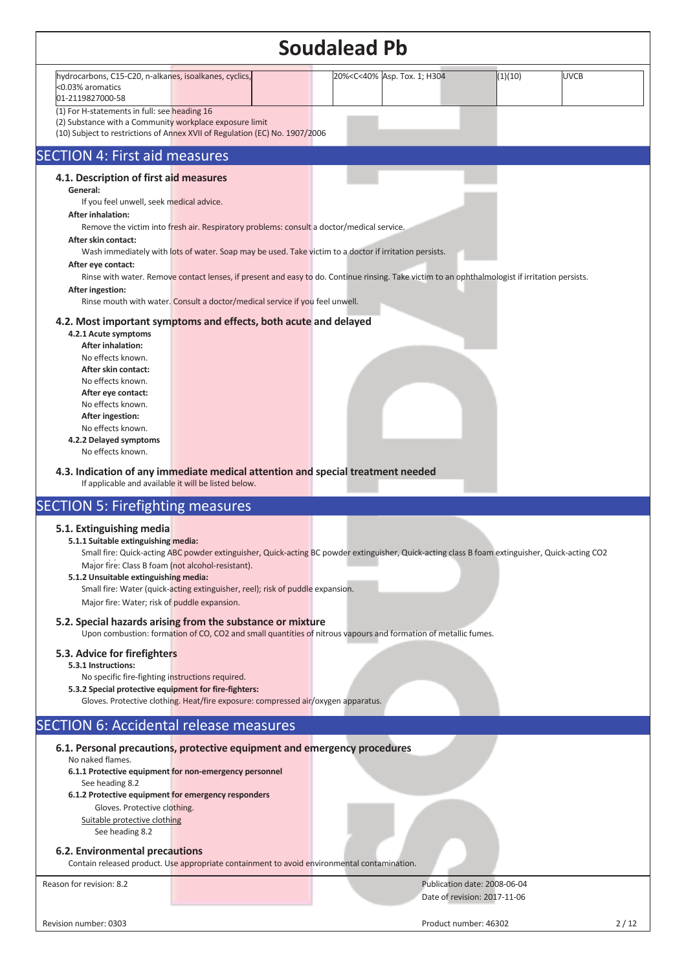|                                                                                                                                                                                                                                                                                                                                                                                                                                                                                                                                                       | <b>Soudalead Pb</b>                                                                                   |                                                              |         |             |
|-------------------------------------------------------------------------------------------------------------------------------------------------------------------------------------------------------------------------------------------------------------------------------------------------------------------------------------------------------------------------------------------------------------------------------------------------------------------------------------------------------------------------------------------------------|-------------------------------------------------------------------------------------------------------|--------------------------------------------------------------|---------|-------------|
| hydrocarbons, C15-C20, n-alkanes, isoalkanes, cyclics,<br><0.03% aromatics<br>01-2119827000-58                                                                                                                                                                                                                                                                                                                                                                                                                                                        | 20% <c<40% 1;="" asp.="" h304<="" td="" tox.=""><td></td><td>(1)(10)</td><td><b>UVCB</b></td></c<40%> |                                                              | (1)(10) | <b>UVCB</b> |
| (1) For H-statements in full: see heading 16<br>(2) Substance with a Community workplace exposure limit<br>(10) Subject to restrictions of Annex XVII of Regulation (EC) No. 1907/2006                                                                                                                                                                                                                                                                                                                                                                |                                                                                                       |                                                              |         |             |
| <b>SECTION 4: First aid measures</b>                                                                                                                                                                                                                                                                                                                                                                                                                                                                                                                  |                                                                                                       |                                                              |         |             |
| 4.1. Description of first aid measures<br>General:<br>If you feel unwell, seek medical advice.<br><b>After inhalation:</b><br>Remove the victim into fresh air. Respiratory problems: consult a doctor/medical service.<br>After skin contact:<br>Wash immediately with lots of water. Soap may be used. Take victim to a doctor if irritation persists.<br>After eye contact:<br>Rinse with water. Remove contact lenses, if present and easy to do. Continue rinsing. Take victim to an ophthalmologist if irritation persists.<br>After ingestion: |                                                                                                       |                                                              |         |             |
| Rinse mouth with water. Consult a doctor/medical service if you feel unwell.<br>4.2. Most important symptoms and effects, both acute and delayed<br>4.2.1 Acute symptoms<br><b>After inhalation:</b><br>No effects known.<br>After skin contact:<br>No effects known.<br>After eye contact:<br>No effects known.<br>After ingestion:<br>No effects known.<br>4.2.2 Delayed symptoms<br>No effects known.<br>4.3. Indication of any immediate medical attention and special treatment needed<br>If applicable and available it will be listed below.   |                                                                                                       |                                                              |         |             |
| <b>SECTION 5: Firefighting measures</b>                                                                                                                                                                                                                                                                                                                                                                                                                                                                                                               |                                                                                                       |                                                              |         |             |
| 5.1. Extinguishing media<br>5.1.1 Suitable extinguishing media:<br>Small fire: Quick-acting ABC powder extinguisher, Quick-acting BC powder extinguisher, Quick-acting class B foam extinguisher, Quick-acting CO2<br>Major fire: Class B foam (not alcohol-resistant).<br>5.1.2 Unsuitable extinguishing media:<br>Small fire: Water (quick-acting extinguisher, reel); risk of puddle expansion.<br>Major fire: Water; risk of puddle expansion.                                                                                                    |                                                                                                       |                                                              |         |             |
| 5.2. Special hazards arising from the substance or mixture<br>Upon combustion: formation of CO, CO2 and small quantities of nitrous vapours and formation of metallic fumes.                                                                                                                                                                                                                                                                                                                                                                          |                                                                                                       |                                                              |         |             |
| 5.3. Advice for firefighters<br>5.3.1 Instructions:<br>No specific fire-fighting instructions required.<br>5.3.2 Special protective equipment for fire-fighters:<br>Gloves. Protective clothing. Heat/fire exposure: compressed air/oxygen apparatus.                                                                                                                                                                                                                                                                                                 |                                                                                                       |                                                              |         |             |
| <b>SECTION 6: Accidental release measures</b>                                                                                                                                                                                                                                                                                                                                                                                                                                                                                                         |                                                                                                       |                                                              |         |             |
| 6.1. Personal precautions, protective equipment and emergency procedures<br>No naked flames.<br>6.1.1 Protective equipment for non-emergency personnel<br>See heading 8.2<br>6.1.2 Protective equipment for emergency responders<br>Gloves. Protective clothing.<br>Suitable protective clothing<br>See heading 8.2<br>6.2. Environmental precautions<br>Contain released product. Use appropriate containment to avoid environmental contamination.                                                                                                  |                                                                                                       |                                                              |         |             |
| Reason for revision: 8.2                                                                                                                                                                                                                                                                                                                                                                                                                                                                                                                              |                                                                                                       | Publication date: 2008-06-04<br>Date of revision: 2017-11-06 |         |             |
| Revision number: 0303                                                                                                                                                                                                                                                                                                                                                                                                                                                                                                                                 |                                                                                                       | Product number: 46302                                        |         | 2/12        |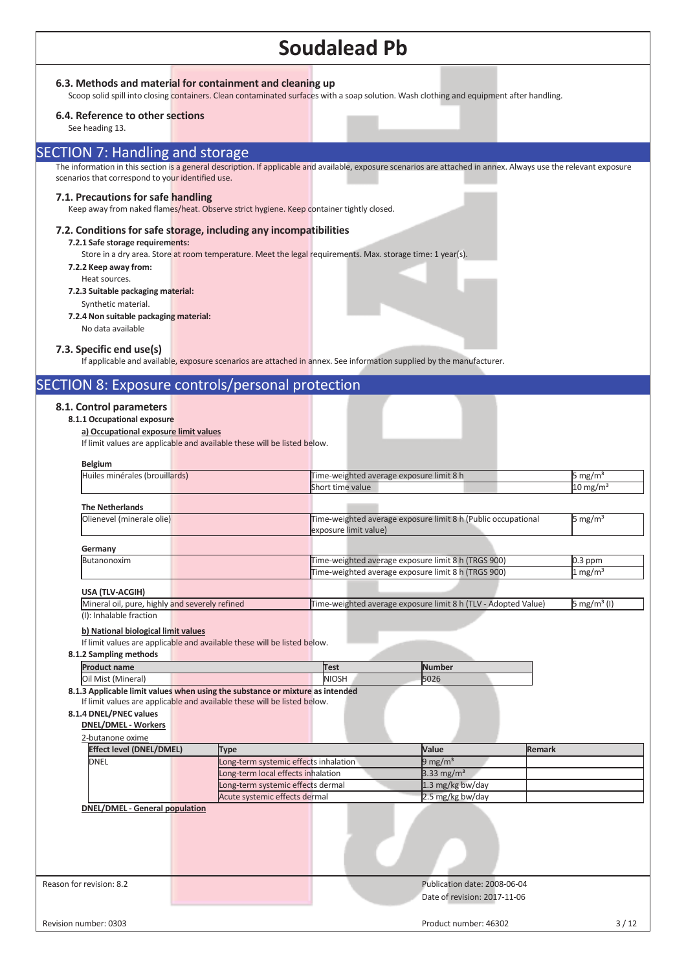### **6.3. Methods and material for containment and cleaning up**

Scoop solid spill into closing containers. Clean contaminated surfaces with a soap solution. Wash clothing and equipment after handling.

#### **6.4. Reference to other sections**

See heading 13.

# SECTION 7: Handling and storage

The information in this section is a general description. If applicable and available, exposure scenarios are attached in annex. Always use the relevant exposure scenarios that correspond to your identified use.

#### **7.1. Precautions for safe handling**

Keep away from naked flames/heat. Observe strict hygiene. Keep container tightly closed.

### **7.2. Conditions for safe storage, including any incompatibilities**

## **7.2.1 Safe storage requirements:**

Store in a dry area. Store at room temperature. Meet the legal requirements. Max. storage time: 1 year(s).

- **7.2.2 Keep away from:**
- Heat sources.
- **7.2.3 Suitable packaging material:** 
	- Synthetic material.
- **7.2.4 Non suitable packaging material:**
	- No data available

#### **7.3. Specific end use(s)**

If applicable and available, exposure scenarios are attached in annex. See information supplied by the manufacturer.

# SECTION 8: Exposure controls/personal protection

#### **8.1. Control parameters**

### **8.1.1 Occupational exposure**

**a) Occupational exposure limit values** 

If limit values are applicable and available these will be listed below.

| <b>Belgium</b><br>Huiles minérales (brouillards)                              |                                       |                                                                |                         |  |  |  |  |
|-------------------------------------------------------------------------------|---------------------------------------|----------------------------------------------------------------|-------------------------|--|--|--|--|
|                                                                               |                                       | 5 mg/m $3$<br>Time-weighted average exposure limit 8 h         |                         |  |  |  |  |
|                                                                               | Short time value                      |                                                                |                         |  |  |  |  |
| <b>The Netherlands</b>                                                        |                                       |                                                                |                         |  |  |  |  |
| Olienevel (minerale olie)                                                     | exposure limit value)                 | Time-weighted average exposure limit 8 h (Public occupational  | 5 mg/ $m3$              |  |  |  |  |
| Germany                                                                       |                                       |                                                                |                         |  |  |  |  |
| Butanonoxim                                                                   |                                       | Time-weighted average exposure limit 8 h (TRGS 900)            | $0.3$ ppm               |  |  |  |  |
|                                                                               |                                       | Time-weighted average exposure limit 8 h (TRGS 900)            | $1 \text{ mg/m}^3$      |  |  |  |  |
| USA (TLV-ACGIH)                                                               |                                       |                                                                |                         |  |  |  |  |
| Mineral oil, pure, highly and severely refined                                |                                       | Time-weighted average exposure limit 8 h (TLV - Adopted Value) | 5 mg/m <sup>3</sup> (I) |  |  |  |  |
| (I): Inhalable fraction                                                       |                                       |                                                                |                         |  |  |  |  |
| <b>Product name</b>                                                           | Test                                  | <b>Number</b>                                                  |                         |  |  |  |  |
| 8.1.2 Sampling methods                                                        |                                       |                                                                |                         |  |  |  |  |
|                                                                               |                                       |                                                                |                         |  |  |  |  |
| Oil Mist (Mineral)                                                            | <b>NIOSH</b>                          | 5026                                                           |                         |  |  |  |  |
| 8.1.3 Applicable limit values when using the substance or mixture as intended |                                       |                                                                |                         |  |  |  |  |
| If limit values are applicable and available these will be listed below.      |                                       |                                                                |                         |  |  |  |  |
| 8.1.4 DNEL/PNEC values                                                        |                                       |                                                                |                         |  |  |  |  |
| <b>DNEL/DMEL - Workers</b>                                                    |                                       |                                                                |                         |  |  |  |  |
|                                                                               |                                       |                                                                |                         |  |  |  |  |
| 2-butanone oxime                                                              |                                       |                                                                |                         |  |  |  |  |
| <b>Effect level (DNEL/DMEL)</b>                                               | Type                                  | Value<br><b>Remark</b>                                         |                         |  |  |  |  |
| <b>DNEL</b>                                                                   | Long-term systemic effects inhalation | 9 mg/m $3$                                                     |                         |  |  |  |  |
|                                                                               | Long-term local effects inhalation    | 3.33 mg/ $m3$                                                  |                         |  |  |  |  |
|                                                                               | Long-term systemic effects dermal     | 1.3 mg/kg bw/day                                               |                         |  |  |  |  |
|                                                                               | Acute systemic effects dermal         | 2.5 mg/kg bw/day                                               |                         |  |  |  |  |
| <b>DNEL/DMEL - General population</b>                                         |                                       |                                                                |                         |  |  |  |  |
|                                                                               |                                       |                                                                |                         |  |  |  |  |
|                                                                               |                                       |                                                                |                         |  |  |  |  |
|                                                                               |                                       |                                                                |                         |  |  |  |  |
|                                                                               |                                       |                                                                |                         |  |  |  |  |
|                                                                               |                                       |                                                                |                         |  |  |  |  |
|                                                                               |                                       | Publication date: 2008-06-04                                   |                         |  |  |  |  |
|                                                                               |                                       |                                                                |                         |  |  |  |  |
| Reason for revision: 8.2                                                      |                                       | Date of revision: 2017-11-06                                   |                         |  |  |  |  |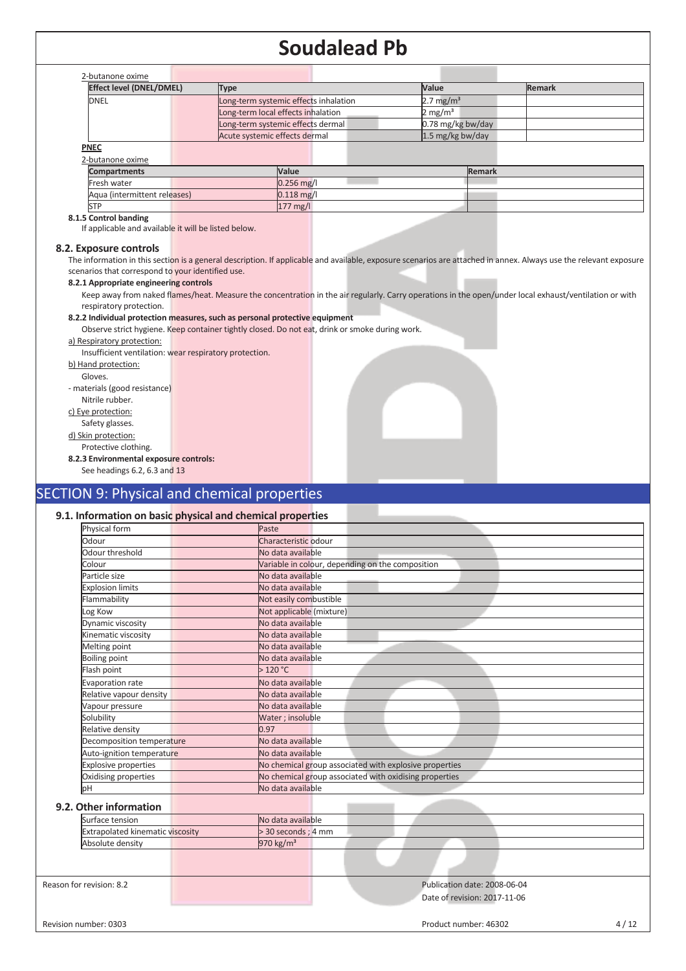| 2-butanone oxime                |                                       |                        |  |  |
|---------------------------------|---------------------------------------|------------------------|--|--|
| <b>Effect level (DNEL/DMEL)</b> | Type                                  | Value<br><b>Remark</b> |  |  |
| <b>DNEL</b>                     | Long-term systemic effects inhalation | 2.7 mg/ $m3$           |  |  |
|                                 | Long-term local effects inhalation    | 2 mg/m <sup>3</sup>    |  |  |
|                                 | Long-term systemic effects dermal     | 0.78 mg/kg bw/day      |  |  |
|                                 | Acute systemic effects dermal         | 1.5 mg/kg bw/day       |  |  |
| <b>PNEC</b>                     |                                       |                        |  |  |
| 2-butanone oxime                |                                       |                        |  |  |
| <b>Compartments</b>             | Value                                 | Remark                 |  |  |
| Fresh water                     | $0.256$ mg/l                          |                        |  |  |
| Aqua (intermittent releases)    | $0.118$ mg/l                          |                        |  |  |
| <b>STP</b>                      | $177 \text{ mg/l}$                    |                        |  |  |
| A P A concentration of the      |                                       |                        |  |  |

## **8.1.5 Control banding**

If applicable and available it will be listed below.

#### **8.2. Exposure controls**

The information in this section is a general description. If applicable and available, exposure scenarios are attached in annex. Always use the relevant exposure scenarios that correspond to your identified use.

#### **8.2.1 Appropriate engineering controls**

Keep away from naked flames/heat. Measure the concentration in the air regularly. Carry operations in the open/under local exhaust/ventilation or with respiratory protection.

#### **8.2.2 Individual protection measures, such as personal protective equipment**

Observe strict hygiene. Keep container tightly closed. Do not eat, drink or smoke during work.

#### a) Respiratory protection:

Insufficient ventilation: wear respiratory protection.

b) Hand protection:

Gloves.

- materials (good resistance) Nitrile rubber.

c) Eye protection:

Safety glasses.

d) Skin protection:

Protective clothing.

**8.2.3 Environmental exposure controls:** 

See headings 6.2, 6.3 and 13

# SECTION 9: Physical and chemical properties

## **9.1. Information on basic physical and chemical properties**

| Physical form               | Paste                                                  |  |
|-----------------------------|--------------------------------------------------------|--|
| Odour                       | Characteristic odour                                   |  |
| Odour threshold             | No data available                                      |  |
| Colour                      | Variable in colour, depending on the composition       |  |
| Particle size               | No data available                                      |  |
| <b>Explosion limits</b>     | No data available                                      |  |
| Flammability                | Not easily combustible                                 |  |
| Log Kow                     | Not applicable (mixture)                               |  |
| Dynamic viscosity           | No data available                                      |  |
| Kinematic viscosity         | No data available                                      |  |
| Melting point               | No data available                                      |  |
| <b>Boiling point</b>        | No data available                                      |  |
| Flash point                 | >120 °C                                                |  |
| Evaporation rate            | No data available                                      |  |
| Relative vapour density     | No data available                                      |  |
| Vapour pressure             | No data available                                      |  |
| Solubility                  | Water; insoluble                                       |  |
| Relative density            | 0.97                                                   |  |
| Decomposition temperature   | No data available                                      |  |
| Auto-ignition temperature   | No data available                                      |  |
| <b>Explosive properties</b> | No chemical group associated with explosive properties |  |
| Oxidising properties        | No chemical group associated with oxidising properties |  |
| bН                          | No data available                                      |  |
| 9.2. Other information      |                                                        |  |
| Surface tension             | No data available                                      |  |

| Surface tension                         | No data available     |
|-----------------------------------------|-----------------------|
| <b>Extrapolated kinematic viscosity</b> | $>$ 30 seconds ; 4 mm |
| Absolute density                        | 970 kg/ $m3$          |
|                                         |                       |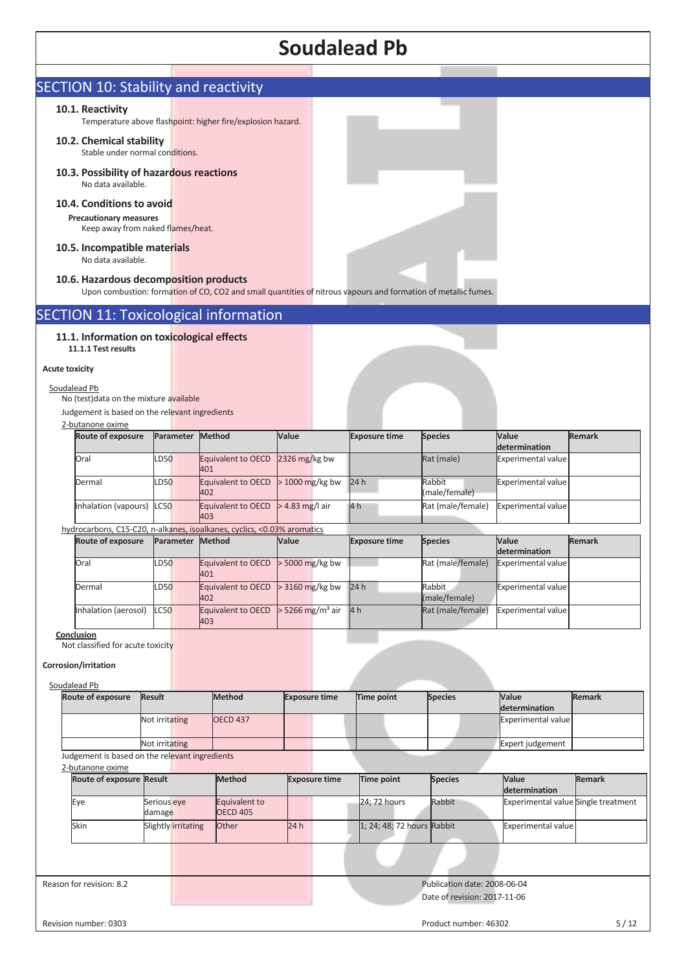|                                                                                                                                                           |               |                               |                                                                                                                |                                | <b>Soudalead Pb</b>        |                         |                                            |               |
|-----------------------------------------------------------------------------------------------------------------------------------------------------------|---------------|-------------------------------|----------------------------------------------------------------------------------------------------------------|--------------------------------|----------------------------|-------------------------|--------------------------------------------|---------------|
| <b>SECTION 10: Stability and reactivity</b>                                                                                                               |               |                               |                                                                                                                |                                |                            |                         |                                            |               |
| 10.1. Reactivity                                                                                                                                          |               |                               |                                                                                                                |                                |                            |                         |                                            |               |
|                                                                                                                                                           |               |                               | Temperature above flashpoint: higher fire/explosion hazard.                                                    |                                |                            |                         |                                            |               |
| 10.2. Chemical stability<br>Stable under normal conditions.                                                                                               |               |                               |                                                                                                                |                                |                            |                         |                                            |               |
| 10.3. Possibility of hazardous reactions<br>No data available.                                                                                            |               |                               |                                                                                                                |                                |                            |                         |                                            |               |
| 10.4. Conditions to avoid<br><b>Precautionary measures</b><br>Keep away from naked flames/heat.                                                           |               |                               |                                                                                                                |                                |                            |                         |                                            |               |
| 10.5. Incompatible materials<br>No data available.                                                                                                        |               |                               |                                                                                                                |                                |                            |                         |                                            |               |
| 10.6. Hazardous decomposition products                                                                                                                    |               |                               | Upon combustion: formation of CO, CO2 and small quantities of nitrous vapours and formation of metallic fumes. |                                |                            |                         |                                            |               |
|                                                                                                                                                           |               |                               | <b>SECTION 11: Toxicological information</b>                                                                   |                                |                            |                         |                                            |               |
| 11.1.1 Test results<br><b>Acute toxicity</b><br>Soudalead Pb<br>No (test) data on the mixture available<br>Judgement is based on the relevant ingredients |               |                               |                                                                                                                |                                |                            |                         |                                            |               |
| 2-butanone oxime<br>Route of exposure                                                                                                                     |               | Parameter                     | Method                                                                                                         | Value                          | <b>Exposure time</b>       | <b>Species</b>          | Value                                      | <b>Remark</b> |
| Oral                                                                                                                                                      |               | LD50                          | Equivalent to OECD                                                                                             | 2326 mg/kg bw                  |                            | Rat (male)              | determination<br><b>Experimental value</b> |               |
|                                                                                                                                                           |               |                               | 401                                                                                                            |                                |                            |                         |                                            |               |
| Dermal                                                                                                                                                    |               | LD50                          | Equivalent to OECD<br>402                                                                                      | $>$ 1000 mg/kg bw              | 24 h                       | Rabbit<br>(male/female) | <b>Experimental value</b>                  |               |
| Inhalation (vapours)                                                                                                                                      |               | <b>LC50</b>                   | Equivalent to OECD<br>403                                                                                      | $>$ 4.83 mg/l air              | 4 h                        | Rat (male/female)       | <b>Experimental value</b>                  |               |
| <b>Route of exposure</b>                                                                                                                                  |               | Parameter                     | hydrocarbons, C15-C20, n-alkanes, isoalkanes, cyclics, <0.03% aromatics<br>Method                              | Value                          | <b>Exposure time</b>       | <b>Species</b>          | Value                                      | <b>Remark</b> |
| Oral                                                                                                                                                      |               | LD50                          | <b>Equivalent to OECD</b>                                                                                      | $>$ 5000 mg/kg bw              |                            | Rat (male/female)       | determination<br><b>Experimental value</b> |               |
| Dermal                                                                                                                                                    |               | LD50                          | 401<br>Equivalent to OECD<br>402                                                                               | > 3160 mg/kg bw                | 24 h                       | Rabbit<br>(male/female) | Experimental value                         |               |
| Inhalation (aerosol)                                                                                                                                      |               | <b>LC50</b>                   | Equivalent to OECD<br>403                                                                                      | $>$ 5266 mg/m <sup>3</sup> air | 4 <sub>h</sub>             | Rat (male/female)       | <b>Experimental value</b>                  |               |
| Conclusion<br>Not classified for acute toxicity<br>Corrosion/irritation<br>Soudalead Pb                                                                   |               |                               |                                                                                                                |                                |                            |                         |                                            |               |
| Route of exposure                                                                                                                                         | <b>Result</b> |                               | <b>Method</b>                                                                                                  | <b>Exposure time</b>           | <b>Time point</b>          | <b>Species</b>          | Value                                      | <b>Remark</b> |
|                                                                                                                                                           |               | Not irritating                | <b>OECD 437</b>                                                                                                |                                |                            |                         | determination<br>Experimental value        |               |
|                                                                                                                                                           |               | Not irritating                |                                                                                                                |                                |                            |                         | Expert judgement                           |               |
|                                                                                                                                                           |               |                               |                                                                                                                |                                |                            |                         |                                            |               |
| Judgement is based on the relevant ingredients<br>2-butanone oxime                                                                                        |               |                               |                                                                                                                |                                |                            |                         |                                            |               |
| Route of exposure Result                                                                                                                                  |               |                               | <b>Method</b>                                                                                                  | <b>Exposure time</b>           | Time point                 | <b>Species</b>          | Value<br>determination                     | <b>Remark</b> |
| Eye                                                                                                                                                       |               | Serious eye                   | Equivalent to                                                                                                  |                                | 24; 72 hours               | Rabbit                  | Experimental value Single treatment        |               |
| Skin                                                                                                                                                      |               | damage<br>Slightly irritating | <b>OECD 405</b><br>Other                                                                                       | 24 h                           | 1; 24; 48; 72 hours Rabbit |                         | <b>Experimental value</b>                  |               |
|                                                                                                                                                           |               |                               |                                                                                                                |                                |                            |                         |                                            |               |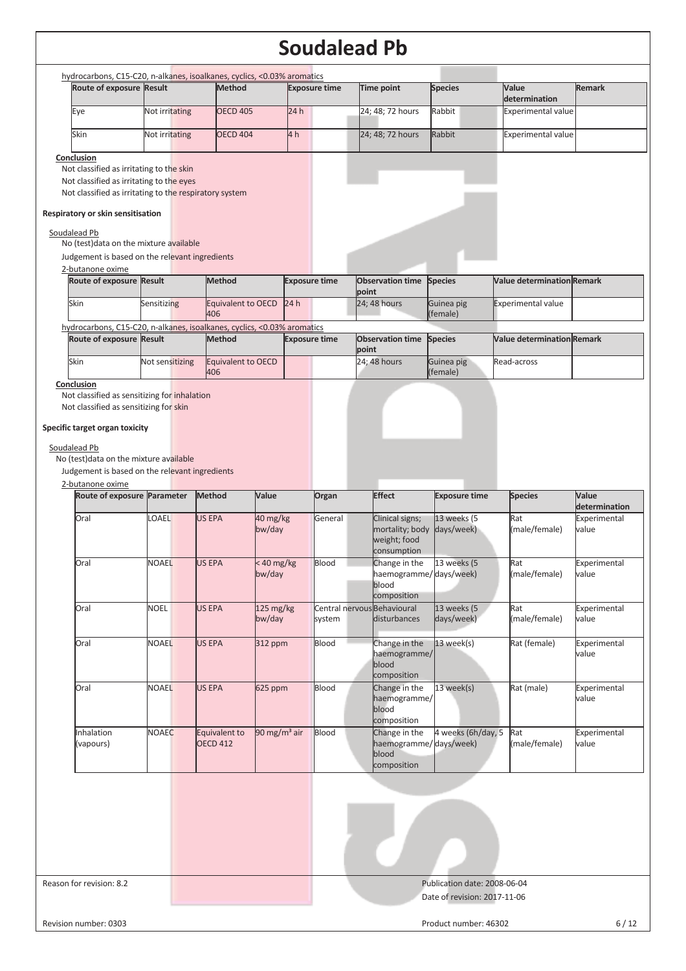| hydrocarbons, C15-C20, n-alkanes, isoalkanes, cyclics, <0.03% aromatics<br>Route of exposure Result |                 | <b>Method</b>                  |                          | <b>Exposure time</b> |       | Time point                                 | <b>Species</b>               | Value                             | <b>Remark</b>                                                                                                 |
|-----------------------------------------------------------------------------------------------------|-----------------|--------------------------------|--------------------------|----------------------|-------|--------------------------------------------|------------------------------|-----------------------------------|---------------------------------------------------------------------------------------------------------------|
|                                                                                                     |                 |                                |                          |                      |       |                                            |                              | determination                     |                                                                                                               |
| Eye                                                                                                 | Not irritating  | <b>OECD 405</b>                |                          | 24h                  |       | 24; 48; 72 hours                           | Rabbit                       | <b>Experimental value</b>         |                                                                                                               |
| Skin                                                                                                | Not irritating  | <b>OECD 404</b>                |                          | 4 <sub>h</sub>       |       | 24; 48; 72 hours                           | Rabbit                       | <b>Experimental value</b>         |                                                                                                               |
| Conclusion                                                                                          |                 |                                |                          |                      |       |                                            |                              |                                   |                                                                                                               |
| Not classified as irritating to the skin                                                            |                 |                                |                          |                      |       |                                            |                              |                                   |                                                                                                               |
| Not classified as irritating to the eyes                                                            |                 |                                |                          |                      |       |                                            |                              |                                   |                                                                                                               |
| Not classified as irritating to the respiratory system                                              |                 |                                |                          |                      |       |                                            |                              |                                   |                                                                                                               |
| Respiratory or skin sensitisation                                                                   |                 |                                |                          |                      |       |                                            |                              |                                   |                                                                                                               |
| Soudalead Pb                                                                                        |                 |                                |                          |                      |       |                                            |                              |                                   |                                                                                                               |
| No (test) data on the mixture available                                                             |                 |                                |                          |                      |       |                                            |                              |                                   |                                                                                                               |
| Judgement is based on the relevant ingredients<br>2-butanone oxime                                  |                 |                                |                          |                      |       |                                            |                              |                                   |                                                                                                               |
| Route of exposure Result                                                                            |                 | <b>Method</b>                  |                          | <b>Exposure time</b> |       | <b>Observation time</b>                    | <b>Species</b>               | <b>Value determination Remark</b> |                                                                                                               |
|                                                                                                     |                 |                                |                          |                      | point |                                            |                              |                                   |                                                                                                               |
| Skin                                                                                                | Sensitizing     | Equivalent to OECD 24 h<br>406 |                          |                      |       | 24; 48 hours                               | Guinea pig<br>(female)       | <b>Experimental value</b>         |                                                                                                               |
| hydrocarbons, C15-C20, n-alkanes, isoalkanes, cyclics, <0.03% aromatics                             |                 |                                |                          |                      |       |                                            |                              |                                   |                                                                                                               |
| Route of exposure Result                                                                            |                 | Method                         |                          | <b>Exposure time</b> | point | <b>Observation time</b>                    | <b>Species</b>               | <b>Value determination Remark</b> |                                                                                                               |
| <b>Skin</b>                                                                                         | Not sensitizing | <b>Equivalent to OECD</b>      |                          |                      |       | 24; 48 hours                               | Guinea pig                   | Read-across                       |                                                                                                               |
| Conclusion                                                                                          |                 | 406                            |                          |                      |       |                                            | (female)                     |                                   |                                                                                                               |
| Not classified as sensitizing for inhalation<br>Not classified as sensitizing for skin              |                 |                                |                          |                      |       |                                            |                              |                                   |                                                                                                               |
|                                                                                                     |                 |                                |                          |                      |       |                                            |                              |                                   |                                                                                                               |
| Specific target organ toxicity                                                                      |                 |                                |                          |                      |       |                                            |                              |                                   |                                                                                                               |
|                                                                                                     |                 |                                |                          |                      |       |                                            |                              |                                   |                                                                                                               |
|                                                                                                     |                 |                                |                          |                      |       |                                            |                              |                                   |                                                                                                               |
| Soudalead Pb<br>No (test) data on the mixture available                                             |                 |                                |                          |                      |       |                                            |                              |                                   |                                                                                                               |
|                                                                                                     |                 |                                |                          |                      |       |                                            |                              |                                   |                                                                                                               |
|                                                                                                     |                 | <b>Method</b>                  | Value                    |                      |       | <b>Effect</b>                              |                              |                                   | Value                                                                                                         |
| Route of exposure Parameter                                                                         |                 |                                |                          | Organ                |       |                                            | <b>Exposure time</b>         | <b>Species</b>                    |                                                                                                               |
| Oral                                                                                                | LOAEL           | US EPA                         | 40 mg/kg<br>bw/day       | General              |       | Clinical signs;                            | 13 weeks (5                  | Rat<br>(male/female)              | value                                                                                                         |
|                                                                                                     |                 |                                |                          |                      |       | mortality; body<br>weight; food            | days/week)                   |                                   |                                                                                                               |
|                                                                                                     |                 |                                |                          |                      |       | consumption                                |                              |                                   |                                                                                                               |
| Oral                                                                                                | <b>NOAEL</b>    | <b>US EPA</b>                  | < 40 mg/kg<br>bw/day     | Blood                |       | Change in the<br>haemogramme/days/week)    | 13 weeks (5                  | Rat<br>(male/female)              | value                                                                                                         |
|                                                                                                     |                 |                                |                          |                      |       | blood                                      |                              |                                   |                                                                                                               |
| Oral                                                                                                | <b>NOEL</b>     | US EPA                         |                          |                      |       | composition<br>Central nervous Behavioural |                              | Rat                               |                                                                                                               |
|                                                                                                     |                 |                                | 125 mg/kg<br>bw/day      | system               |       | disturbances                               | 13 weeks (5<br>days/week)    | (male/female)                     | value                                                                                                         |
|                                                                                                     |                 |                                |                          |                      |       |                                            |                              |                                   |                                                                                                               |
| Oral                                                                                                | <b>NOAEL</b>    | US EPA                         | 312 ppm                  | Blood                |       | Change in the<br>haemogramme/              | $13$ week(s)                 | Rat (female)                      | value                                                                                                         |
|                                                                                                     |                 |                                |                          |                      |       | blood                                      |                              |                                   |                                                                                                               |
| Oral                                                                                                | <b>NOAEL</b>    | <b>US EPA</b>                  | 625 ppm                  | Blood                |       | composition<br>Change in the               |                              | Rat (male)                        |                                                                                                               |
|                                                                                                     |                 |                                |                          |                      |       | haemogramme/                               | 13 week(s)                   |                                   | value                                                                                                         |
|                                                                                                     |                 |                                |                          |                      |       | blood                                      |                              |                                   |                                                                                                               |
| Inhalation                                                                                          | <b>NOAEC</b>    | Equivalent to                  | 90 mg/m <sup>3</sup> air | Blood                |       | composition<br>Change in the               | 4 weeks (6h/day, 5           | Rat                               | determination<br>Experimental<br>Experimental<br>Experimental<br>Experimental<br>Experimental<br>Experimental |
| (vapours)                                                                                           |                 | <b>OECD 412</b>                |                          |                      |       | haemogramme/days/week)                     |                              | (male/female)                     | value                                                                                                         |
|                                                                                                     |                 |                                |                          |                      |       | blood<br>composition                       |                              |                                   |                                                                                                               |
|                                                                                                     |                 |                                |                          |                      |       |                                            |                              |                                   |                                                                                                               |
| Judgement is based on the relevant ingredients<br>2-butanone oxime                                  |                 |                                |                          |                      |       |                                            |                              |                                   |                                                                                                               |
|                                                                                                     |                 |                                |                          |                      |       |                                            |                              |                                   |                                                                                                               |
|                                                                                                     |                 |                                |                          |                      |       |                                            |                              |                                   |                                                                                                               |
|                                                                                                     |                 |                                |                          |                      |       |                                            |                              |                                   |                                                                                                               |
|                                                                                                     |                 |                                |                          |                      |       |                                            |                              |                                   |                                                                                                               |
| Reason for revision: 8.2                                                                            |                 |                                |                          |                      |       |                                            | Publication date: 2008-06-04 |                                   |                                                                                                               |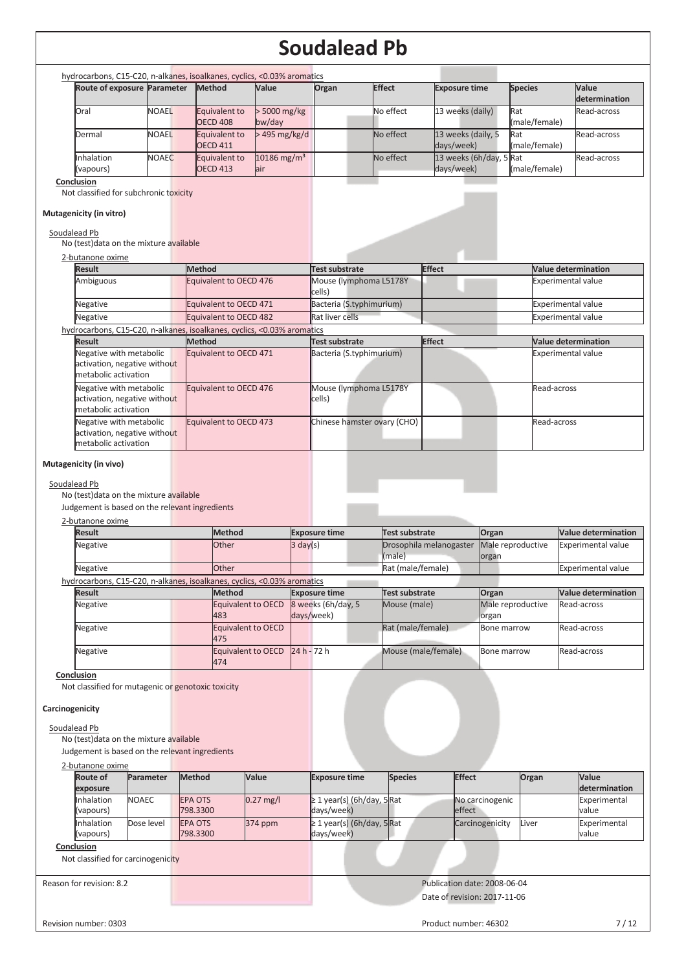|                                                                                                                                                                                                                                                                                                                                                                                                                                                                                                                                      | Route of exposure Parameter | <b>Method</b>                  |                                                                                                                                                          | Value                          | Organ                                                                                                                                                                                                                            | <b>Effect</b> |                       | <b>Exposure time</b>                                         |                    | <b>Species</b>             | Value                                                                                                                                                                        |
|--------------------------------------------------------------------------------------------------------------------------------------------------------------------------------------------------------------------------------------------------------------------------------------------------------------------------------------------------------------------------------------------------------------------------------------------------------------------------------------------------------------------------------------|-----------------------------|--------------------------------|----------------------------------------------------------------------------------------------------------------------------------------------------------|--------------------------------|----------------------------------------------------------------------------------------------------------------------------------------------------------------------------------------------------------------------------------|---------------|-----------------------|--------------------------------------------------------------|--------------------|----------------------------|------------------------------------------------------------------------------------------------------------------------------------------------------------------------------|
|                                                                                                                                                                                                                                                                                                                                                                                                                                                                                                                                      |                             |                                |                                                                                                                                                          |                                |                                                                                                                                                                                                                                  |               |                       |                                                              |                    |                            | determination                                                                                                                                                                |
| Oral                                                                                                                                                                                                                                                                                                                                                                                                                                                                                                                                 | <b>NOAEL</b>                | <b>OECD 408</b>                | Equivalent to                                                                                                                                            | > 5000 mg/kg<br>bw/day         |                                                                                                                                                                                                                                  |               | No effect             | 13 weeks (daily)                                             |                    | Rat<br>(male/female)       | Read-across                                                                                                                                                                  |
| Dermal                                                                                                                                                                                                                                                                                                                                                                                                                                                                                                                               | <b>NOAEL</b>                | <b>OECD 411</b>                | Equivalent to                                                                                                                                            | > 495 mg/kg/d                  |                                                                                                                                                                                                                                  |               | No effect             | 13 weeks (daily, 5<br>days/week)                             |                    | Rat<br>(male/female)       | Read-across                                                                                                                                                                  |
| Inhalation                                                                                                                                                                                                                                                                                                                                                                                                                                                                                                                           | <b>NOAEC</b>                | <b>OECD 413</b>                | Equivalent to                                                                                                                                            | 10186 mg/m <sup>3</sup><br>air |                                                                                                                                                                                                                                  |               | No effect             | 13 weeks (6h/day, 5 Rat<br>days/week)                        |                    | (male/female)              | Read-across                                                                                                                                                                  |
| (vapours)<br>Conclusion                                                                                                                                                                                                                                                                                                                                                                                                                                                                                                              |                             |                                |                                                                                                                                                          |                                |                                                                                                                                                                                                                                  |               |                       |                                                              |                    |                            |                                                                                                                                                                              |
| Mutagenicity (in vitro)<br>Soudalead Pb<br>No (test) data on the mixture available<br>2-butanone oxime<br><b>Result</b><br>Ambiguous<br>Negative<br>Negative<br>hydrocarbons, C15-C20, n-alkanes, isoalkanes, cyclics, <0.03% aromatics<br>Result<br>Negative with metabolic<br>activation, negative without<br>metabolic activation<br>Negative with metabolic<br>activation, negative without<br>metabolic activation<br>Negative with metabolic<br>activation, negative without<br>metabolic activation<br>Mutagenicity (in vivo) |                             | <b>Method</b><br><b>Method</b> | Equivalent to OECD 476<br>Equivalent to OECD 471<br>Equivalent to OECD 482<br>Equivalent to OECD 471<br>Equivalent to OECD 476<br>Equivalent to OECD 473 |                                | <b>Test substrate</b><br>Mouse (lymphoma L5178Y<br>cells)<br>Bacteria (S.typhimurium)<br>Rat liver cells<br><b>Test substrate</b><br>Bacteria (S.typhimurium)<br>Mouse (lymphoma L5178Y<br>cells)<br>Chinese hamster ovary (CHO) |               |                       | <b>Effect</b><br><b>Effect</b>                               |                    | Read-across<br>Read-across | <b>Value determination</b><br><b>Experimental value</b><br><b>Experimental value</b><br><b>Experimental value</b><br><b>Value determination</b><br><b>Experimental value</b> |
| Soudalead Pb<br>No (test) data on the mixture available<br>Judgement is based on the relevant ingredients<br>2-butanone oxime<br><b>Result</b>                                                                                                                                                                                                                                                                                                                                                                                       |                             |                                | <b>Method</b>                                                                                                                                            |                                | <b>Exposure time</b>                                                                                                                                                                                                             |               | <b>Test substrate</b> |                                                              | Organ              |                            | <b>Value determination</b>                                                                                                                                                   |
| Negative                                                                                                                                                                                                                                                                                                                                                                                                                                                                                                                             |                             |                                | Other                                                                                                                                                    | $3 \text{ day}(s)$             |                                                                                                                                                                                                                                  |               | (male)                | Drosophila melanogaster                                      | organ              | Male reproductive          | <b>Experimental value</b>                                                                                                                                                    |
| Negative                                                                                                                                                                                                                                                                                                                                                                                                                                                                                                                             |                             |                                | Other                                                                                                                                                    |                                |                                                                                                                                                                                                                                  |               | Rat (male/female)     |                                                              |                    |                            | <b>Experimental value</b>                                                                                                                                                    |
| hydrocarbons, C15-C20, n-alkanes, isoalkanes, cyclics, <0.03% aromatics<br><b>Result</b>                                                                                                                                                                                                                                                                                                                                                                                                                                             |                             |                                | <b>Method</b>                                                                                                                                            |                                | <b>Exposure time</b>                                                                                                                                                                                                             |               | <b>Test substrate</b> |                                                              |                    |                            | <b>Value determination</b>                                                                                                                                                   |
|                                                                                                                                                                                                                                                                                                                                                                                                                                                                                                                                      |                             |                                | Equivalent to OECD                                                                                                                                       |                                | 8 weeks (6h/day, 5                                                                                                                                                                                                               |               | Mouse (male)          |                                                              | Organ              | Male reproductive          | Read-across                                                                                                                                                                  |
|                                                                                                                                                                                                                                                                                                                                                                                                                                                                                                                                      |                             |                                | 483                                                                                                                                                      |                                | days/week)                                                                                                                                                                                                                       |               |                       |                                                              | organ              |                            |                                                                                                                                                                              |
| Negative                                                                                                                                                                                                                                                                                                                                                                                                                                                                                                                             |                             |                                |                                                                                                                                                          |                                |                                                                                                                                                                                                                                  |               |                       |                                                              | Bone marrow        |                            |                                                                                                                                                                              |
| Negative                                                                                                                                                                                                                                                                                                                                                                                                                                                                                                                             |                             |                                | Equivalent to OECD<br>475                                                                                                                                |                                |                                                                                                                                                                                                                                  |               | Rat (male/female)     |                                                              |                    |                            | Read-across                                                                                                                                                                  |
| Negative                                                                                                                                                                                                                                                                                                                                                                                                                                                                                                                             |                             |                                | <b>Equivalent to OECD</b><br>474                                                                                                                         |                                | 24 h - 72 h                                                                                                                                                                                                                      |               | Mouse (male/female)   |                                                              | <b>Bone marrow</b> |                            | Read-across                                                                                                                                                                  |
| Conclusion<br>Not classified for mutagenic or genotoxic toxicity<br>Carcinogenicity<br>Soudalead Pb<br>No (test) data on the mixture available<br>Judgement is based on the relevant ingredients                                                                                                                                                                                                                                                                                                                                     |                             |                                |                                                                                                                                                          |                                |                                                                                                                                                                                                                                  |               |                       |                                                              |                    |                            |                                                                                                                                                                              |
| 2-butanone oxime<br><b>Route of</b>                                                                                                                                                                                                                                                                                                                                                                                                                                                                                                  | Parameter                   | <b>Method</b>                  |                                                                                                                                                          | Value                          | <b>Exposure time</b>                                                                                                                                                                                                             |               | <b>Species</b>        | <b>Effect</b>                                                |                    | Organ                      | Value                                                                                                                                                                        |
| exposure                                                                                                                                                                                                                                                                                                                                                                                                                                                                                                                             |                             |                                |                                                                                                                                                          |                                |                                                                                                                                                                                                                                  |               |                       |                                                              |                    |                            | determination                                                                                                                                                                |
| Inhalation<br>NOAEC<br>(vapours)                                                                                                                                                                                                                                                                                                                                                                                                                                                                                                     |                             | EPA OTS<br>798.3300            |                                                                                                                                                          | $0.27$ mg/l                    | $\geq$ 1 year(s) (6h/day, 5Rat<br>days/week)                                                                                                                                                                                     |               |                       | effect                                                       | No carcinogenic    |                            | Experimental<br>value                                                                                                                                                        |
| Inhalation                                                                                                                                                                                                                                                                                                                                                                                                                                                                                                                           | Dose level                  | <b>EPA OTS</b>                 |                                                                                                                                                          | 374 ppm                        | $\geq$ 1 year(s) (6h/day, 5Rat                                                                                                                                                                                                   |               |                       |                                                              | Carcinogenicity    | Liver                      | Experimental                                                                                                                                                                 |
| (vapours)                                                                                                                                                                                                                                                                                                                                                                                                                                                                                                                            |                             | 798.3300                       |                                                                                                                                                          |                                | days/week)                                                                                                                                                                                                                       |               |                       |                                                              |                    |                            | value                                                                                                                                                                        |
| Conclusion<br>Not classified for carcinogenicity                                                                                                                                                                                                                                                                                                                                                                                                                                                                                     |                             |                                |                                                                                                                                                          |                                |                                                                                                                                                                                                                                  |               |                       |                                                              |                    |                            |                                                                                                                                                                              |
| Reason for revision: 8.2                                                                                                                                                                                                                                                                                                                                                                                                                                                                                                             |                             |                                |                                                                                                                                                          |                                |                                                                                                                                                                                                                                  |               |                       | Publication date: 2008-06-04<br>Date of revision: 2017-11-06 |                    |                            |                                                                                                                                                                              |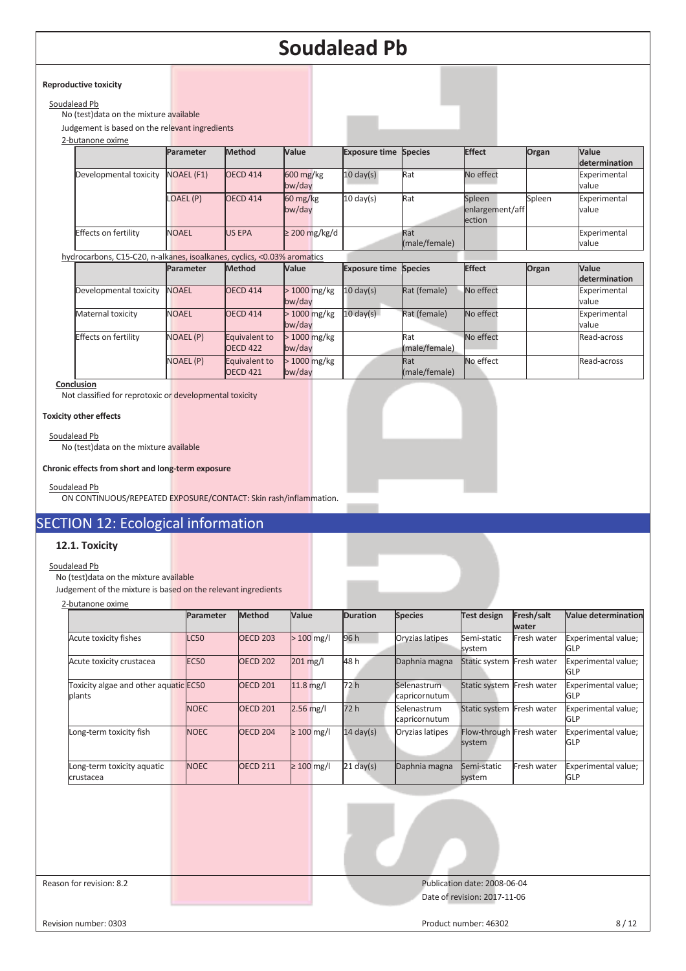#### **Reproductive toxicity**

## Soudalead Pb

No (test)data on the mixture available

Judgement is based on the relevant ingredients

| 2-butanone oxime            |                   |                 |                                   |                              |               |                 |        |               |
|-----------------------------|-------------------|-----------------|-----------------------------------|------------------------------|---------------|-----------------|--------|---------------|
|                             | Parameter         | <b>Method</b>   | Value                             | <b>Exposure time Species</b> |               | <b>Effect</b>   | Organ  | Value         |
|                             |                   |                 |                                   |                              |               |                 |        | determination |
| Developmental toxicity      | <b>NOAEL (F1)</b> | <b>OECD 414</b> | $600 \frac{\text{mg}}{\text{kg}}$ | $10 \text{ day(s)}$          | Rat           | No effect       |        | Experimental  |
|                             |                   |                 | bw/day                            |                              |               |                 |        | value         |
|                             | LOAEL (P)         | <b>OECD 414</b> | $60 \frac{\text{mg}}{\text{kg}}$  | $10 \text{ day(s)}$          | Rat           | Spleen          | Spleen | Experimental  |
|                             |                   |                 | bw/day                            |                              |               | enlargement/aff |        | value         |
|                             |                   |                 |                                   |                              |               | ection          |        |               |
| <b>Effects on fertility</b> | <b>NOAEL</b>      | <b>US EPA</b>   | $\geq$ 200 mg/kg/d                |                              | Rat           |                 |        | Experimental  |
|                             |                   |                 |                                   |                              | (male/female) |                 |        | value         |

hydrocarbons, C15-C20, n-alkanes, isoalkanes, cyclics, <0.03% aromatics

|                        | Parameter        | <b>Method</b>                    | <b>Value</b>            | <b>Exposure time Species</b> |                      | <b>Effect</b> | Organ | Value<br>determination |
|------------------------|------------------|----------------------------------|-------------------------|------------------------------|----------------------|---------------|-------|------------------------|
| Developmental toxicity | <b>NOAEL</b>     | <b>OECD 414</b>                  | $>1000$ mg/kg<br>bw/day | $10 \text{ day(s)}$          | Rat (female)         | No effect     |       | Experimental<br>value  |
| Maternal toxicity      | <b>NOAEL</b>     | <b>OECD 414</b>                  | $>1000$ mg/kg<br>bw/day | $10 \text{ day(s)}$          | Rat (female)         | No effect     |       | Experimental<br>value  |
| Effects on fertility   | <b>NOAEL (P)</b> | Equivalent to<br><b>OECD 422</b> | $>1000$ mg/kg<br>bw/day |                              | Rat<br>(male/female) | No effect     |       | Read-across            |
|                        | <b>NOAEL (P)</b> | Equivalent to<br><b>OECD 421</b> | $>1000$ mg/kg<br>bw/day |                              | Rat<br>(male/female) | No effect     |       | Read-across            |

**Conclusion** 

Not classified for reprotoxic or developmental toxicity

#### **Toxicity other effects**

Soudalead Pb

No (test)data on the mixture available

#### **Chronic effects from short and long-term exposure**

#### Soudalead Pb

ON CONTINUOUS/REPEATED EXPOSURE/CONTACT: Skin rash/inflammation.

# SECTION 12: Ecological information

## **12.1. Toxicity**

# Soudalead Pb

# No (test) $\overline{\text{data}}$  on the mixture available

Judgement of the mixture is based on the relevant ingredients

| 2-butanone oxime                                |                  |                 |                 |                     |                              |                                    |                     |                                   |
|-------------------------------------------------|------------------|-----------------|-----------------|---------------------|------------------------------|------------------------------------|---------------------|-----------------------------------|
|                                                 | Parameter        | <b>Method</b>   | Value           | <b>Duration</b>     | <b>Species</b>               | Test design                        | Fresh/salt<br>water | <b>Value determination</b>        |
| Acute toxicity fishes                           | LC50             | <b>OECD 203</b> | $>100$ mg/l     | 96 h                | Oryzias latipes              | Semi-static<br>system              | Fresh water         | Experimental value;<br>GLP        |
| Acute toxicity crustacea                        | EC <sub>50</sub> | <b>OECD 202</b> | 201 mg/l        | 48 h                | Daphnia magna                | Static system                      | Fresh water         | Experimental value;<br>GLP        |
| Toxicity algae and other aquatic EC50<br>plants |                  | <b>OECD 201</b> | $11.8$ mg/l     | 72 h                | Selenastrum<br>capricornutum | Static system Fresh water          |                     | Experimental value;<br>GLP        |
|                                                 | <b>NOEC</b>      | <b>OECD 201</b> | $2.56$ mg/l     | 72 h                | Selenastrum<br>capricornutum | Static system Fresh water          |                     | Experimental value;<br>GLP        |
| Long-term toxicity fish                         | <b>NOEC</b>      | <b>OECD 204</b> | $\geq 100$ mg/l | $14 \text{ day(s)}$ | Oryzias latipes              | Flow-through Fresh water<br>system |                     | Experimental value;<br>GLP        |
| Long-term toxicity aquatic<br>crustacea         | <b>NOEC</b>      | <b>OECD 211</b> | $\geq 100$ mg/l | $21 \text{ day(s)}$ | Daphnia magna                | Semi-static<br>system              | Fresh water         | Experimental value;<br><b>GLP</b> |
|                                                 |                  |                 |                 |                     |                              |                                    |                     |                                   |

### Reason for revision: 8.2 **Publication date: 2008-06-04** Publication date: 2008-06-04 Date of revision: 2017-11-06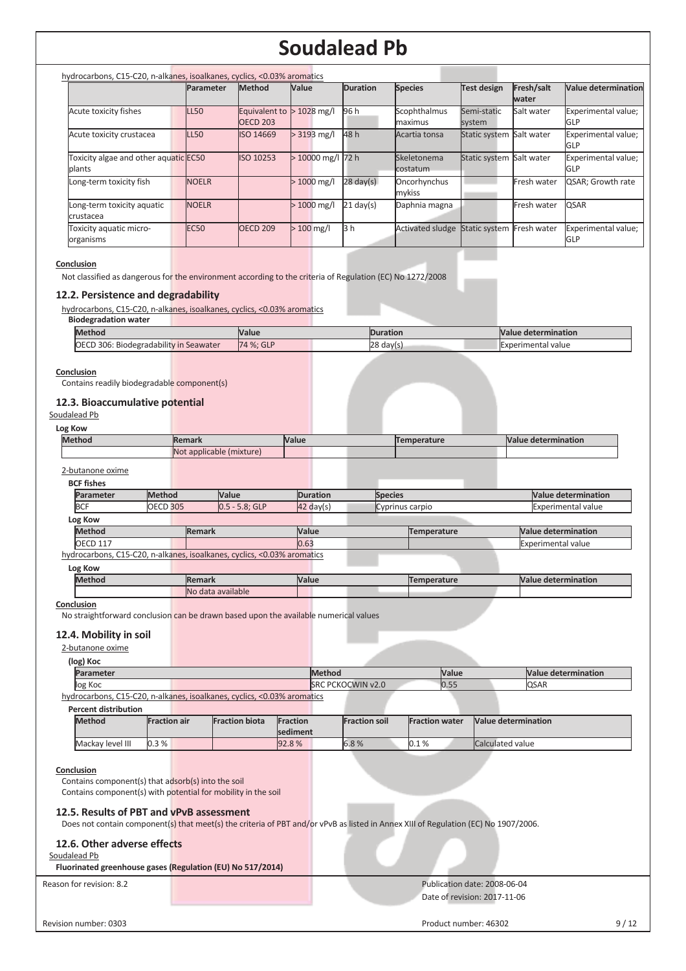| hydrocarbons, C15-C20, n-alkanes, isoalkanes, cyclics, <0.03% aromatics |                  |                                  |                   |                     |                          |                          |                     |                                   |
|-------------------------------------------------------------------------|------------------|----------------------------------|-------------------|---------------------|--------------------------|--------------------------|---------------------|-----------------------------------|
|                                                                         | <b>Parameter</b> | <b>Method</b>                    | Value             | <b>Duration</b>     | <b>Species</b>           | <b>Test design</b>       | Fresh/salt<br>water | <b>Value determination</b>        |
| Acute toxicity fishes                                                   | <b>LL50</b>      | Equivalent to<br><b>OECD 203</b> | $\cdot$ 1028 mg/l | 96 h                | Scophthalmus<br>maximus  | Semi-static<br>system    | Salt water          | Experimental value;<br><b>GLP</b> |
| Acute toxicity crustacea                                                | <b>LL50</b>      | ISO 14669                        | $> 3193$ mg/l     | 48 h                | Acartia tonsa            | Static system Salt water |                     | Experimental value;<br>GLP        |
| Toxicity algae and other aquatic EC50<br>plants                         |                  | ISO 10253                        | >10000 mg/l 72 h  |                     | Skeletonema<br>costatum. | Static system Salt water |                     | Experimental value;<br>GLP        |
| Long-term toxicity fish                                                 | <b>NOELR</b>     |                                  | $>1000$ mg/l      | $28 \text{ day(s)}$ | Oncorhynchus<br>mykiss   |                          | Fresh water         | QSAR; Growth rate                 |
| Long-term toxicity aquatic<br>crustacea                                 | <b>NOELR</b>     |                                  | $>1000$ mg/l      | $21$ day(s)         | Daphnia magna            |                          | Fresh water         | <b>QSAR</b>                       |
| Toxicity aquatic micro-<br>organisms                                    | <b>EC50</b>      | <b>OECD 209</b>                  | $>100$ mg/l       | 3 h                 | <b>Activated sludge</b>  | Static system            | Fresh water         | Experimental value;<br>GLP        |

#### **Conclusion**

Not classified as dangerous for the environment according to the criteria of Regulation (EC) No 1272/2008

## **12.2. Persistence and degradability**

hydrocarbons, C15-C20, n-alkanes, isoalkanes, cyclics, <0.03% aromatics

**Biodegradation water** 

| <b>Method</b>                                          | <b>Value</b> | <b>Duration</b> | Nalue determination       |
|--------------------------------------------------------|--------------|-----------------|---------------------------|
| : Biodegradability in Seawater<br><b>OECD 306: Bio</b> | 74 %: GLP    | 28<br>day(s)    | <b>Experimental value</b> |
|                                                        |              |                 |                           |

#### **Conclusion**

Contains readily biodegradable component(s)

# **12.3. Bioaccumulative potential**

Soudalead Pb

| Log | KOW |  |  |
|-----|-----|--|--|
|     |     |  |  |

| <b>Method</b>                                                           |                 | <b>Remark</b> |                          | <b>Value</b> |                     |                | Temperature        | <b>Value determination</b> |
|-------------------------------------------------------------------------|-----------------|---------------|--------------------------|--------------|---------------------|----------------|--------------------|----------------------------|
|                                                                         |                 |               | Not applicable (mixture) |              |                     |                |                    |                            |
| 2-butanone oxime                                                        |                 |               |                          |              |                     |                |                    |                            |
| <b>BCF</b> fishes                                                       |                 |               |                          |              |                     |                |                    |                            |
| <b>Parameter</b>                                                        | <b>Method</b>   |               | <b>Value</b>             |              | <b>Duration</b>     | <b>Species</b> |                    | <b>Value determination</b> |
| <b>BCF</b>                                                              | <b>OECD 305</b> |               | $0.5 - 5.8$ ; GLP        |              | $42 \text{ day}(s)$ |                | Cyprinus carpio    | <b>Experimental value</b>  |
| Log Kow                                                                 |                 |               |                          |              |                     |                |                    |                            |
| <b>Method</b>                                                           |                 | <b>Remark</b> |                          | Value        |                     |                | <b>Temperature</b> | <b>Value determination</b> |
| <b>OECD 117</b>                                                         |                 |               |                          | 0.63         |                     |                |                    | <b>Experimental value</b>  |
| hydrocarbons, C15-C20, n-alkanes, isoalkanes, cyclics, <0.03% aromatics |                 |               |                          |              |                     |                |                    |                            |
| Log Kow                                                                 |                 |               |                          |              |                     |                |                    |                            |
| <b>Method</b>                                                           |                 | <b>Remark</b> |                          | Value        |                     |                | <b>Temperature</b> | <b>Value determination</b> |

**Conclusion** 

No straightforward conclusion can be drawn based upon the available numerical values

No data available

## **12.4. Mobility in soil**

2-butanone oxime

| (log) Koc        |                                                                                                                |                          |       |                            |
|------------------|----------------------------------------------------------------------------------------------------------------|--------------------------|-------|----------------------------|
| <b>Parameter</b> |                                                                                                                | <b>Method</b>            | Value | <b>Nalue determination</b> |
| log Koc          |                                                                                                                | <b>SRC PCKOCWIN v2.0</b> | 0.55  | <b>QSAR</b>                |
|                  | italiana de concepto de la contradición de la contradición de concepto de la concepto de la concepto de la con |                          |       |                            |

hydrocarbons, C15-C20, n-alkanes, isoalkanes, cyclics, <0.03% aromatics

| <b>Percent distribution</b> |                     |                       |                 |                      |                       |                            |
|-----------------------------|---------------------|-----------------------|-----------------|----------------------|-----------------------|----------------------------|
| <b>Method</b>               | <b>Fraction air</b> | <b>Fraction biota</b> | <b>Fraction</b> | <b>Fraction soil</b> | <b>Fraction water</b> | <b>Nalue determination</b> |
|                             |                     |                       | <b>sediment</b> |                      |                       |                            |
| Mackay level III            | 0.3%                |                       | 92.8%           | 6.8%                 | 0.1%                  | Calculated value           |

#### **Conclusion**

Contains component(s) that adsorb(s) into the soil Contains component(s) with potential for mobility in the soil

### **12.5. Results of PBT and vPvB assessment**

Does not contain component(s) that meet(s) the criteria of PBT and/or vPvB as listed in Annex XIII of Regulation (EC) No 1907/2006.

### **12.6. Other adverse effects**

Soudalead Pb

**Fluorinated greenhouse gases (Regulation (EU) No 517/2014)** 

### Reason for revision: 8.2 **Publication date: 2008-06-04** Publication date: 2008-06-04 Date of revision: 2017-11-06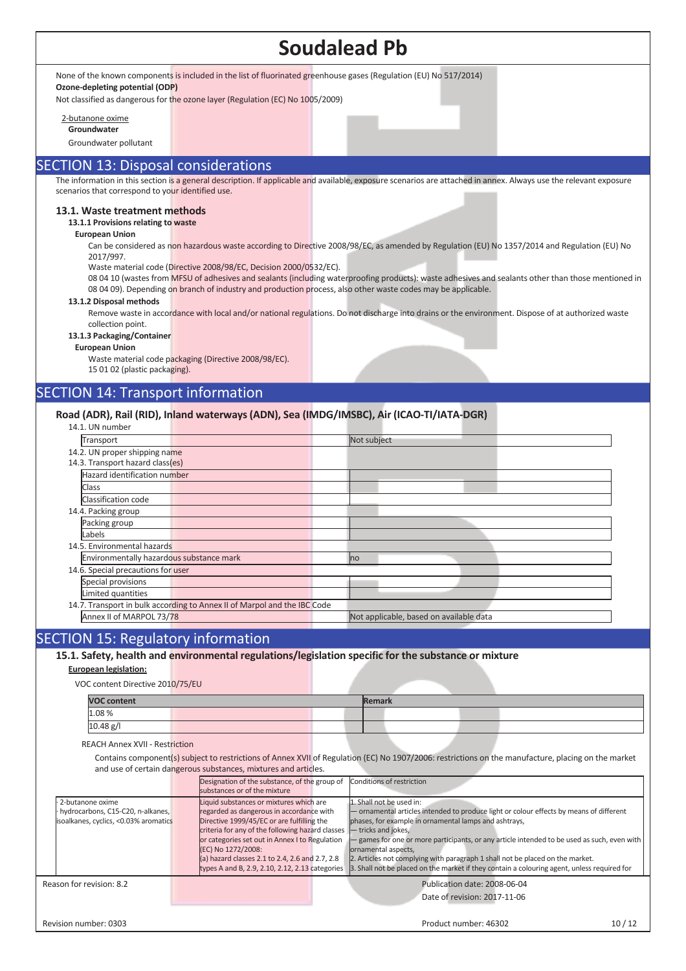None of the known components is included in the list of fluorinated greenhouse gases (Regulation (EU) No 517/2014)

**Ozone-depleting potential (ODP)** 

Not classified as dangerous for the ozone layer (Regulation (EC) No 1005/2009)

2-butanone oxime

**Groundwater** 

Groundwater pollutant

# SECTION 13: Disposal considerations

The information in this section i<mark>s a general description. If applicable an</mark>d available, exposure scenarios are attached in annex. Always use the relevant exposure scenarios that correspond to your identified use.

#### **13.1. Waste treatment methods**

#### **13.1.1 Provisions relating to waste**

**European Union** 

Can be considered as non hazardous waste according to Directive 2008/98/EC, as amended by Regulation (EU) No 1357/2014 and Regulation (EU) No 2017/997.

Waste material code (Directive 2008/98/EC, Decision 2000/0532/EC).

08 04 10 (wastes from MFSU of adhesives and sealants (including waterproofing products): waste adhesives and sealants other than those mentioned in 08 04 09). Depending on branch of industry and production process, also other waste codes may be applicable.

#### **13.1.2 Disposal methods**

Remove waste in accordance with local and/or national regulations. Do not discharge into drains or the environment. Dispose of at authorized waste collection point.

#### **13.1.3 Packaging/Container**

**European Union** 

Waste material code packaging (Directive 2008/98/EC).

15 01 02 (plastic packaging).

# SECTION 14: Transport information

### **Road (ADR), Rail (RID), Inland waterways (ADN), Sea (IMDG/IMSBC), Air (ICAO-TI/IATA-DGR)**

| 14.1. UN number                                                          |  |  |                                         |  |  |
|--------------------------------------------------------------------------|--|--|-----------------------------------------|--|--|
| Transport                                                                |  |  | Not subject                             |  |  |
| 14.2. UN proper shipping name                                            |  |  |                                         |  |  |
| 14.3. Transport hazard class(es)                                         |  |  |                                         |  |  |
| Hazard identification number                                             |  |  |                                         |  |  |
| Class                                                                    |  |  |                                         |  |  |
| Classification code                                                      |  |  |                                         |  |  |
| 14.4. Packing group                                                      |  |  |                                         |  |  |
| Packing group                                                            |  |  |                                         |  |  |
| Labels                                                                   |  |  |                                         |  |  |
| 14.5. Environmental hazards                                              |  |  |                                         |  |  |
| Environmentally hazardous substance mark                                 |  |  | <b>I</b> no                             |  |  |
| 14.6. Special precautions for user                                       |  |  |                                         |  |  |
| Special provisions                                                       |  |  |                                         |  |  |
| Limited quantities                                                       |  |  |                                         |  |  |
| 14.7. Transport in bulk according to Annex II of Marpol and the IBC Code |  |  |                                         |  |  |
| Annex II of MARPOL 73/78                                                 |  |  | Not applicable, based on available data |  |  |

# SECTION 15: Regulatory information

**15.1. Safety, health and environmental regulations/legislation specific for the substance or mixture**

#### **European legislation:**

VOC content Directive 2010/75/EU

| <b>VOC content</b> |  | Remark |  |  |
|--------------------|--|--------|--|--|
| 1.08%              |  |        |  |  |
| 10.48 g/l          |  |        |  |  |

#### REACH Annex XVII - Restriction

 Contains component(s) subject to restrictions of Annex XVII of Regulation (EC) No 1907/2006: restrictions on the manufacture, placing on the market and use of certain dangerous substances, mixtures and articles.

|                                                                                                | Designation of the substance, of the group of<br>Conditions of restriction<br>substances or of the mixture                                                                                                                                                                                                                                                                                                                                                                                                                                                                                                                                                                                                                                                                                                                                                                       |       |
|------------------------------------------------------------------------------------------------|----------------------------------------------------------------------------------------------------------------------------------------------------------------------------------------------------------------------------------------------------------------------------------------------------------------------------------------------------------------------------------------------------------------------------------------------------------------------------------------------------------------------------------------------------------------------------------------------------------------------------------------------------------------------------------------------------------------------------------------------------------------------------------------------------------------------------------------------------------------------------------|-------|
| 2-butanone oxime<br>hydrocarbons, C15-C20, n-alkanes,<br>isoalkanes, cyclics, <0.03% aromatics | Liquid substances or mixtures which are<br>1. Shall not be used in:<br>regarded as dangerous in accordance with<br>- ornamental articles intended to produce light or colour effects by means of different<br>phases, for example in ornamental lamps and ashtrays,<br>Directive 1999/45/EC or are fulfilling the<br>criteria for any of the following hazard classes<br>- tricks and jokes,<br>- games for one or more participants, or any article intended to be used as such, even with<br>or categories set out in Annex I to Regulation<br>(EC) No 1272/2008:<br>ornamental aspects,<br>(a) hazard classes 2.1 to 2.4, 2.6 and 2.7, 2.8<br>2. Articles not complying with paragraph 1 shall not be placed on the market.<br>3. Shall not be placed on the market if they contain a colouring agent, unless required for<br>types A and B, 2.9, 2.10, 2.12, 2.13 categories |       |
| Reason for revision: 8.2                                                                       | Publication date: 2008-06-04<br>Date of revision: 2017-11-06                                                                                                                                                                                                                                                                                                                                                                                                                                                                                                                                                                                                                                                                                                                                                                                                                     |       |
| Revision number: 0303                                                                          | Product number: 46302                                                                                                                                                                                                                                                                                                                                                                                                                                                                                                                                                                                                                                                                                                                                                                                                                                                            | 10/12 |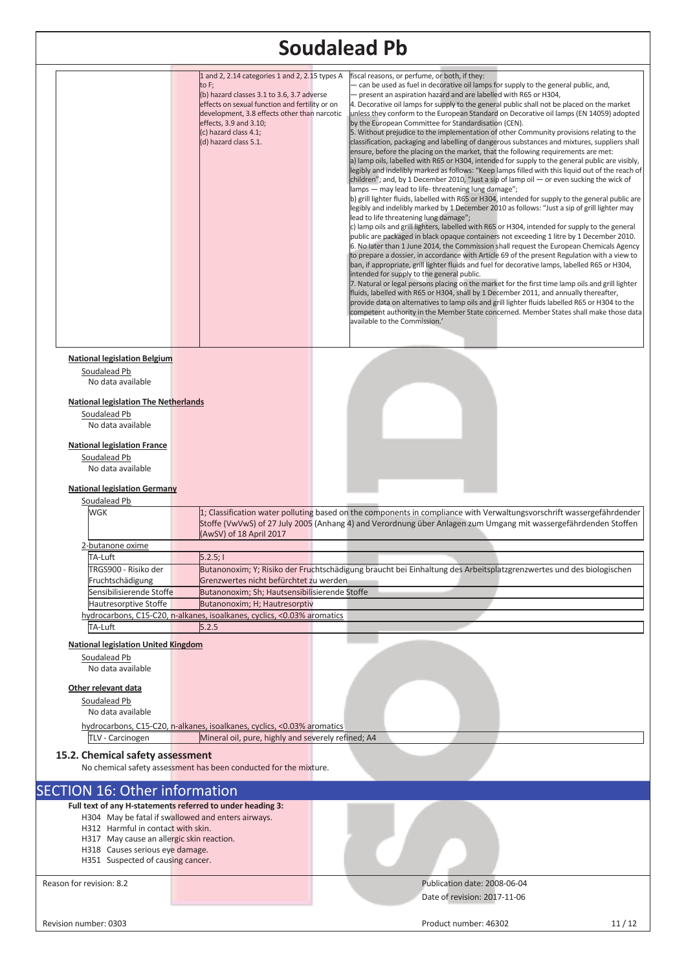|                                                                                                                                                         |                                                                                                                                                                                                                                                                                     | <b>Soudalead Pb</b>                                                                                                                                                                                                                                                                                                                                                                                                                                                                                                                                                                                                                                                                                                                                                                                                                                                                                                                                                                                                                                                                                                                                                                                                                                                                                                                                                                                                                                                                                                                                                                                                                                                                                                                                                                                                                                                                                                                                                                                                                                                                                                                                                                                                                                                                                                          |
|---------------------------------------------------------------------------------------------------------------------------------------------------------|-------------------------------------------------------------------------------------------------------------------------------------------------------------------------------------------------------------------------------------------------------------------------------------|------------------------------------------------------------------------------------------------------------------------------------------------------------------------------------------------------------------------------------------------------------------------------------------------------------------------------------------------------------------------------------------------------------------------------------------------------------------------------------------------------------------------------------------------------------------------------------------------------------------------------------------------------------------------------------------------------------------------------------------------------------------------------------------------------------------------------------------------------------------------------------------------------------------------------------------------------------------------------------------------------------------------------------------------------------------------------------------------------------------------------------------------------------------------------------------------------------------------------------------------------------------------------------------------------------------------------------------------------------------------------------------------------------------------------------------------------------------------------------------------------------------------------------------------------------------------------------------------------------------------------------------------------------------------------------------------------------------------------------------------------------------------------------------------------------------------------------------------------------------------------------------------------------------------------------------------------------------------------------------------------------------------------------------------------------------------------------------------------------------------------------------------------------------------------------------------------------------------------------------------------------------------------------------------------------------------------|
|                                                                                                                                                         | 1 and 2, 2.14 categories 1 and 2, 2.15 types A<br>to F;<br>(b) hazard classes 3.1 to 3.6, 3.7 adverse<br>effects on sexual function and fertility or on<br>development, 3.8 effects other than narcotic<br>effects, 3.9 and 3.10;<br>(c) hazard class 4.1;<br>(d) hazard class 5.1. | fiscal reasons, or perfume, or both, if they:<br>- can be used as fuel in decorative oil lamps for supply to the general public, and,<br>- present an aspiration hazard and are labelled with R65 or H304,<br>4. Decorative oil lamps for supply to the general public shall not be placed on the market<br>unless they conform to the European Standard on Decorative oil lamps (EN 14059) adopted<br>by the European Committee for Standardisation (CEN).<br>5. Without prejudice to the implementation of other Community provisions relating to the<br>classification, packaging and labelling of dangerous substances and mixtures, suppliers shall<br>ensure, before the placing on the market, that the following requirements are met:<br>a) lamp oils, labelled with R65 or H304, intended for supply to the general public are visibly,<br>legibly and indelibly marked as follows: "Keep lamps filled with this liquid out of the reach of<br>children"; and, by 1 December 2010, "Just a sip of lamp oil — or even sucking the wick of<br>lamps - may lead to life-threatening lung damage";<br>b) grill lighter fluids, labelled with R65 or H304, intended for supply to the general public are<br>legibly and indelibly marked by 1 December 2010 as follows: "Just a sip of grill lighter may<br>lead to life threatening lung damage";<br>c) lamp oils and grill lighters, labelled with R65 or H304, intended for supply to the general<br>public are packaged in black opaque containers not exceeding 1 litre by 1 December 2010.<br>6. No later than 1 June 2014, the Commission shall request the European Chemicals Agency<br>to prepare a dossier, in accordance with Article 69 of the present Regulation with a view to<br>ban, if appropriate, grill lighter fluids and fuel for decorative lamps, labelled R65 or H304,<br>intended for supply to the general public.<br>7. Natural or legal persons placing on the market for the first time lamp oils and grill lighter<br>ffluids, labelled with R65 or H304, shall by 1 December 2011, and annually thereafter,<br>provide data on alternatives to lamp oils and grill lighter fluids labelled R65 or H304 to the<br>competent authority in the Member State concerned. Member States shall make those data<br>available to the Commission.' |
| <b>National legislation Belgium</b><br>Soudalead Pb<br>No data available                                                                                |                                                                                                                                                                                                                                                                                     |                                                                                                                                                                                                                                                                                                                                                                                                                                                                                                                                                                                                                                                                                                                                                                                                                                                                                                                                                                                                                                                                                                                                                                                                                                                                                                                                                                                                                                                                                                                                                                                                                                                                                                                                                                                                                                                                                                                                                                                                                                                                                                                                                                                                                                                                                                                              |
| <b>National legislation The Netherlands</b>                                                                                                             |                                                                                                                                                                                                                                                                                     |                                                                                                                                                                                                                                                                                                                                                                                                                                                                                                                                                                                                                                                                                                                                                                                                                                                                                                                                                                                                                                                                                                                                                                                                                                                                                                                                                                                                                                                                                                                                                                                                                                                                                                                                                                                                                                                                                                                                                                                                                                                                                                                                                                                                                                                                                                                              |
| Soudalead Pb<br>No data available                                                                                                                       |                                                                                                                                                                                                                                                                                     |                                                                                                                                                                                                                                                                                                                                                                                                                                                                                                                                                                                                                                                                                                                                                                                                                                                                                                                                                                                                                                                                                                                                                                                                                                                                                                                                                                                                                                                                                                                                                                                                                                                                                                                                                                                                                                                                                                                                                                                                                                                                                                                                                                                                                                                                                                                              |
| <b>National legislation France</b><br>Soudalead Pb<br>No data available                                                                                 |                                                                                                                                                                                                                                                                                     |                                                                                                                                                                                                                                                                                                                                                                                                                                                                                                                                                                                                                                                                                                                                                                                                                                                                                                                                                                                                                                                                                                                                                                                                                                                                                                                                                                                                                                                                                                                                                                                                                                                                                                                                                                                                                                                                                                                                                                                                                                                                                                                                                                                                                                                                                                                              |
| <b>National legislation Germany</b>                                                                                                                     |                                                                                                                                                                                                                                                                                     |                                                                                                                                                                                                                                                                                                                                                                                                                                                                                                                                                                                                                                                                                                                                                                                                                                                                                                                                                                                                                                                                                                                                                                                                                                                                                                                                                                                                                                                                                                                                                                                                                                                                                                                                                                                                                                                                                                                                                                                                                                                                                                                                                                                                                                                                                                                              |
| Soudalead Pb<br><b>WGK</b>                                                                                                                              | (AwSV) of 18 April 2017                                                                                                                                                                                                                                                             | 1; Classification water polluting based on the components in compliance with Verwaltungsvorschrift wassergefährdender<br>Stoffe (VwVwS) of 27 July 2005 (Anhang 4) and Verordnung über Anlagen zum Umgang mit wassergefährdenden Stoffen                                                                                                                                                                                                                                                                                                                                                                                                                                                                                                                                                                                                                                                                                                                                                                                                                                                                                                                                                                                                                                                                                                                                                                                                                                                                                                                                                                                                                                                                                                                                                                                                                                                                                                                                                                                                                                                                                                                                                                                                                                                                                     |
| <u>2-butanone oxime</u>                                                                                                                                 |                                                                                                                                                                                                                                                                                     |                                                                                                                                                                                                                                                                                                                                                                                                                                                                                                                                                                                                                                                                                                                                                                                                                                                                                                                                                                                                                                                                                                                                                                                                                                                                                                                                                                                                                                                                                                                                                                                                                                                                                                                                                                                                                                                                                                                                                                                                                                                                                                                                                                                                                                                                                                                              |
| TA-Luft<br>TRGS900 - Risiko der                                                                                                                         | 5.2.5;                                                                                                                                                                                                                                                                              | Butanonoxim; Y; Risiko der Fruchtschädigung braucht bei Einhaltung des Arbeitsplatzgrenzwertes und des biologischen                                                                                                                                                                                                                                                                                                                                                                                                                                                                                                                                                                                                                                                                                                                                                                                                                                                                                                                                                                                                                                                                                                                                                                                                                                                                                                                                                                                                                                                                                                                                                                                                                                                                                                                                                                                                                                                                                                                                                                                                                                                                                                                                                                                                          |
| Fruchtschädigung                                                                                                                                        | Grenzwertes nicht befürchtet zu werden                                                                                                                                                                                                                                              |                                                                                                                                                                                                                                                                                                                                                                                                                                                                                                                                                                                                                                                                                                                                                                                                                                                                                                                                                                                                                                                                                                                                                                                                                                                                                                                                                                                                                                                                                                                                                                                                                                                                                                                                                                                                                                                                                                                                                                                                                                                                                                                                                                                                                                                                                                                              |
| Sensibilisierende Stoffe<br>Hautresorptive Stoffe                                                                                                       | Butanonoxim; Sh; Hautsensibilisierende Stoffe<br>Butanonoxim; H; Hautresorptiv                                                                                                                                                                                                      |                                                                                                                                                                                                                                                                                                                                                                                                                                                                                                                                                                                                                                                                                                                                                                                                                                                                                                                                                                                                                                                                                                                                                                                                                                                                                                                                                                                                                                                                                                                                                                                                                                                                                                                                                                                                                                                                                                                                                                                                                                                                                                                                                                                                                                                                                                                              |
|                                                                                                                                                         | hydrocarbons, C15-C20, n-alkanes, isoalkanes, cyclics, <0.03% aromatics                                                                                                                                                                                                             |                                                                                                                                                                                                                                                                                                                                                                                                                                                                                                                                                                                                                                                                                                                                                                                                                                                                                                                                                                                                                                                                                                                                                                                                                                                                                                                                                                                                                                                                                                                                                                                                                                                                                                                                                                                                                                                                                                                                                                                                                                                                                                                                                                                                                                                                                                                              |
| TA-Luft                                                                                                                                                 | 5.2.5                                                                                                                                                                                                                                                                               |                                                                                                                                                                                                                                                                                                                                                                                                                                                                                                                                                                                                                                                                                                                                                                                                                                                                                                                                                                                                                                                                                                                                                                                                                                                                                                                                                                                                                                                                                                                                                                                                                                                                                                                                                                                                                                                                                                                                                                                                                                                                                                                                                                                                                                                                                                                              |
| <b>National legislation United Kingdom</b><br>Soudalead Pb<br>No data available                                                                         |                                                                                                                                                                                                                                                                                     |                                                                                                                                                                                                                                                                                                                                                                                                                                                                                                                                                                                                                                                                                                                                                                                                                                                                                                                                                                                                                                                                                                                                                                                                                                                                                                                                                                                                                                                                                                                                                                                                                                                                                                                                                                                                                                                                                                                                                                                                                                                                                                                                                                                                                                                                                                                              |
| Other relevant data                                                                                                                                     |                                                                                                                                                                                                                                                                                     |                                                                                                                                                                                                                                                                                                                                                                                                                                                                                                                                                                                                                                                                                                                                                                                                                                                                                                                                                                                                                                                                                                                                                                                                                                                                                                                                                                                                                                                                                                                                                                                                                                                                                                                                                                                                                                                                                                                                                                                                                                                                                                                                                                                                                                                                                                                              |
| Soudalead Pb<br>No data available                                                                                                                       |                                                                                                                                                                                                                                                                                     |                                                                                                                                                                                                                                                                                                                                                                                                                                                                                                                                                                                                                                                                                                                                                                                                                                                                                                                                                                                                                                                                                                                                                                                                                                                                                                                                                                                                                                                                                                                                                                                                                                                                                                                                                                                                                                                                                                                                                                                                                                                                                                                                                                                                                                                                                                                              |
|                                                                                                                                                         | hydrocarbons, C15-C20, n-alkanes, isoalkanes, cyclics, <0.03% aromatics                                                                                                                                                                                                             |                                                                                                                                                                                                                                                                                                                                                                                                                                                                                                                                                                                                                                                                                                                                                                                                                                                                                                                                                                                                                                                                                                                                                                                                                                                                                                                                                                                                                                                                                                                                                                                                                                                                                                                                                                                                                                                                                                                                                                                                                                                                                                                                                                                                                                                                                                                              |
| TLV - Carcinogen<br>15.2. Chemical safety assessment                                                                                                    | Mineral oil, pure, highly and severely refined; A4                                                                                                                                                                                                                                  |                                                                                                                                                                                                                                                                                                                                                                                                                                                                                                                                                                                                                                                                                                                                                                                                                                                                                                                                                                                                                                                                                                                                                                                                                                                                                                                                                                                                                                                                                                                                                                                                                                                                                                                                                                                                                                                                                                                                                                                                                                                                                                                                                                                                                                                                                                                              |
|                                                                                                                                                         | No chemical safety assessment has been conducted for the mixture.                                                                                                                                                                                                                   |                                                                                                                                                                                                                                                                                                                                                                                                                                                                                                                                                                                                                                                                                                                                                                                                                                                                                                                                                                                                                                                                                                                                                                                                                                                                                                                                                                                                                                                                                                                                                                                                                                                                                                                                                                                                                                                                                                                                                                                                                                                                                                                                                                                                                                                                                                                              |
| <b>SECTION 16: Other information</b>                                                                                                                    |                                                                                                                                                                                                                                                                                     |                                                                                                                                                                                                                                                                                                                                                                                                                                                                                                                                                                                                                                                                                                                                                                                                                                                                                                                                                                                                                                                                                                                                                                                                                                                                                                                                                                                                                                                                                                                                                                                                                                                                                                                                                                                                                                                                                                                                                                                                                                                                                                                                                                                                                                                                                                                              |
| H312 Harmful in contact with skin.<br>H317 May cause an allergic skin reaction.<br>H318 Causes serious eye damage.<br>H351 Suspected of causing cancer. | Full text of any H-statements referred to under heading 3:<br>H304 May be fatal if swallowed and enters airways.                                                                                                                                                                    |                                                                                                                                                                                                                                                                                                                                                                                                                                                                                                                                                                                                                                                                                                                                                                                                                                                                                                                                                                                                                                                                                                                                                                                                                                                                                                                                                                                                                                                                                                                                                                                                                                                                                                                                                                                                                                                                                                                                                                                                                                                                                                                                                                                                                                                                                                                              |
|                                                                                                                                                         |                                                                                                                                                                                                                                                                                     |                                                                                                                                                                                                                                                                                                                                                                                                                                                                                                                                                                                                                                                                                                                                                                                                                                                                                                                                                                                                                                                                                                                                                                                                                                                                                                                                                                                                                                                                                                                                                                                                                                                                                                                                                                                                                                                                                                                                                                                                                                                                                                                                                                                                                                                                                                                              |
| Reason for revision: 8.2                                                                                                                                |                                                                                                                                                                                                                                                                                     | Publication date: 2008-06-04<br>Date of revision: 2017-11-06                                                                                                                                                                                                                                                                                                                                                                                                                                                                                                                                                                                                                                                                                                                                                                                                                                                                                                                                                                                                                                                                                                                                                                                                                                                                                                                                                                                                                                                                                                                                                                                                                                                                                                                                                                                                                                                                                                                                                                                                                                                                                                                                                                                                                                                                 |
| Revision number: 0303                                                                                                                                   |                                                                                                                                                                                                                                                                                     | Product number: 46302<br>11/12                                                                                                                                                                                                                                                                                                                                                                                                                                                                                                                                                                                                                                                                                                                                                                                                                                                                                                                                                                                                                                                                                                                                                                                                                                                                                                                                                                                                                                                                                                                                                                                                                                                                                                                                                                                                                                                                                                                                                                                                                                                                                                                                                                                                                                                                                               |